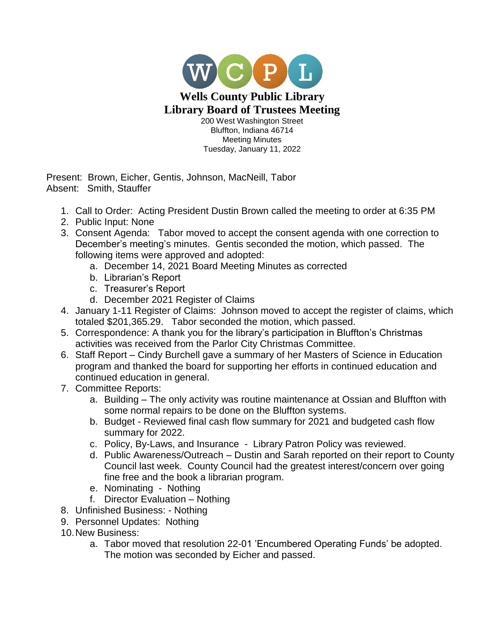

Present: Brown, Eicher, Gentis, Johnson, MacNeill, Tabor Absent: Smith, Stauffer

- 1. Call to Order: Acting President Dustin Brown called the meeting to order at 6:35 PM
- 2. Public Input: None
- 3. Consent Agenda: Tabor moved to accept the consent agenda with one correction to December's meeting's minutes. Gentis seconded the motion, which passed. The following items were approved and adopted:
	- a. December 14, 2021 Board Meeting Minutes as corrected
	- b. Librarian's Report
	- c. Treasurer's Report
	- d. December 2021 Register of Claims
- 4. January 1-11 Register of Claims: Johnson moved to accept the register of claims, which totaled \$201,365.29. Tabor seconded the motion, which passed.
- 5. Correspondence: A thank you for the library's participation in Bluffton's Christmas activities was received from the Parlor City Christmas Committee.
- 6. Staff Report Cindy Burchell gave a summary of her Masters of Science in Education program and thanked the board for supporting her efforts in continued education and continued education in general.
- 7. Committee Reports:
	- a. Building The only activity was routine maintenance at Ossian and Bluffton with some normal repairs to be done on the Bluffton systems.
	- b. Budget Reviewed final cash flow summary for 2021 and budgeted cash flow summary for 2022.
	- c. Policy, By-Laws, and Insurance Library Patron Policy was reviewed.
	- d. Public Awareness/Outreach Dustin and Sarah reported on their report to County Council last week. County Council had the greatest interest/concern over going fine free and the book a librarian program.
	- e. Nominating Nothing
	- f. Director Evaluation Nothing
- 8. Unfinished Business: Nothing
- 9. Personnel Updates: Nothing
- 10.New Business:
	- a. Tabor moved that resolution 22-01 'Encumbered Operating Funds' be adopted. The motion was seconded by Eicher and passed.